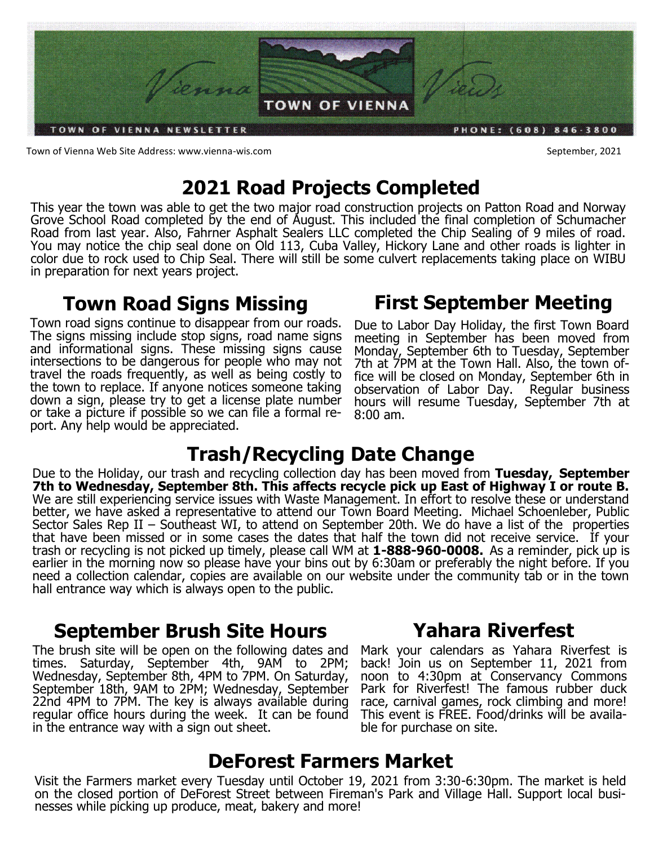

Town of Vienna Web Site Address: www.vienna-wis.com September, 2021

# **2021 Road Projects Completed**

This year the town was able to get the two major road construction projects on Patton Road and Norway Grove School Road completed by the end of August. This included the final completion of Schumacher Road from last year. Also, Fahrner Asphalt Sealers LLC completed the Chip Sealing of 9 miles of road. You may notice the chip seal done on Old 113, Cuba Valley, Hickory Lane and other roads is lighter in color due to rock used to Chip Seal. There will still be some culvert replacements taking place on WIBU in preparation for next years project.

## **Town Road Signs Missing**

Town road signs continue to disappear from our roads. The signs missing include stop signs, road name signs and informational signs. These missing signs cause intersections to be dangerous for people who may not travel the roads frequently, as well as being costly to the town to replace. If anyone notices someone taking down a sign, please try to get a license plate number or take a picture if possible so we can file a formal report. Any help would be appreciated.

## **First September Meeting**

Due to Labor Day Holiday, the first Town Board meeting in September has been moved from Monday, September 6th to Tuesday, September 7th at 7PM at the Town Hall. Also, the town office will be closed on Monday, September 6th in observation of Labor Day. Regular business hours will resume Tuesday, September 7th at 8:00 am.

# **Trash/Recycling Date Change**

Due to the Holiday, our trash and recycling collection day has been moved from **Tuesday, September 7th to Wednesday, September 8th. This affects recycle pick up East of Highway I or route B.**  We are still experiencing service issues with Waste Management. In effort to resolve these or understand better, we have asked a representative to attend our Town Board Meeting. Michael Schoenleber, Public Sector Sales Rep II – Southeast WI, to attend on September 20th. We do have a list of the properties that have been missed or in some cases the dates that half the town did not receive service. If your trash or recycling is not picked up timely, please call WM at **1-888-960-0008.** As a reminder, pick up is earlier in the morning now so please have your bins out by 6:30am or preferably the night before. If you need a collection calendar, copies are available on our website under the community tab or in the town hall entrance way which is always open to the public.

## **September Brush Site Hours**

The brush site will be open on the following dates and times. Saturday, September 4th, 9AM to 2PM; Wednesday, September 8th, 4PM to 7PM. On Saturday, September 18th, 9AM to 2PM; Wednesday, September 22nd 4PM to 7PM. The key is always available during regular office hours during the week. It can be found in the entrance way with a sign out sheet.

### **Yahara Riverfest**

Mark your calendars as Yahara Riverfest is back! Join us on September 11, 2021 from noon to 4:30pm at Conservancy Commons Park for Riverfest! The famous rubber duck race, carnival games, rock climbing and more! This event is FREE. Food/drinks will be available for purchase on site.

### **DeForest Farmers Market**

Visit the Farmers market every Tuesday until October 19, 2021 from 3:30-6:30pm. The market is held on the closed portion of DeForest Street between Fireman's Park and Village Hall. Support local businesses while picking up produce, meat, bakery and more!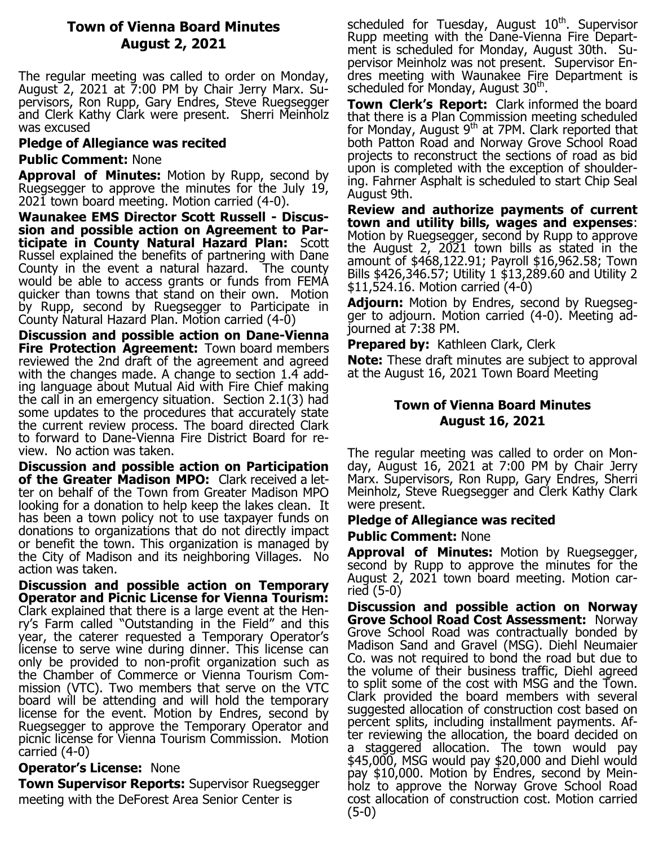### **Town of Vienna Board Minutes August 2, 2021**

The regular meeting was called to order on Monday, August 2, 2021 at 7:00 PM by Chair Jerry Marx. Supervisors, Ron Rupp, Gary Endres, Steve Ruegsegger and Clerk Kathy Clark were present. Sherri Meinholz was excused

#### **Pledge of Allegiance was recited**

#### **Public Comment:** None

**Approval of Minutes:** Motion by Rupp, second by Ruegsegger to approve the minutes for the July 19, 2021 town board meeting. Motion carried (4-0).

**Waunakee EMS Director Scott Russell - Discussion and possible action on Agreement to Participate in County Natural Hazard Plan:** Scott Russel explained the benefits of partnering with Dane County in the event a natural hazard. The county would be able to access grants or funds from FEMA quicker than towns that stand on their own. Motion by Rupp, second by Ruegsegger to Participate in County Natural Hazard Plan. Motion carried (4-0)

**Discussion and possible action on Dane-Vienna Fire Protection Agreement:** Town board members reviewed the 2nd draft of the agreement and agreed with the changes made. A change to section 1.4 adding language about Mutual Aid with Fire Chief making the call in an emergency situation. Section 2.1(3) had some updates to the procedures that accurately state the current review process. The board directed Clark to forward to Dane-Vienna Fire District Board for review. No action was taken.

**Discussion and possible action on Participation of the Greater Madison MPO:** Clark received a letter on behalf of the Town from Greater Madison MPO looking for a donation to help keep the lakes clean. It has been a town policy not to use taxpayer funds on donations to organizations that do not directly impact or benefit the town. This organization is managed by the City of Madison and its neighboring Villages. No action was taken.

**Discussion and possible action on Temporary Operator and Picnic License for Vienna Tourism:**  Clark explained that there is a large event at the Henry's Farm called "Outstanding in the Field" and this year, the caterer requested a Temporary Operator's license to serve wine during dinner. This license can only be provided to non-profit organization such as the Chamber of Commerce or Vienna Tourism Commission (VTC). Two members that serve on the VTC board will be attending and will hold the temporary license for the event. Motion by Endres, second by Ruegsegger to approve the Temporary Operator and picnic license for Vienna Tourism Commission. Motion carried (4-0)

#### **Operator's License:** None

**Town Supervisor Reports:** Supervisor Ruegsegger meeting with the DeForest Area Senior Center is

scheduled for Tuesday, August  $10<sup>th</sup>$ . Supervisor Rupp meeting with the Dane-Vienna Fire Department is scheduled for Monday, August 30th. Supervisor Meinholz was not present. Supervisor Endres meeting with Waunakee Fire Department is scheduled for Monday, August  $30<sup>th</sup>$ .

**Town Clerk's Report:** Clark informed the board that there is a Plan Commission meeting scheduled for Monday, August 9th at 7PM. Clark reported that both Patton Road and Norway Grove School Road projects to reconstruct the sections of road as bid upon is completed with the exception of shouldering. Fahrner Asphalt is scheduled to start Chip Seal August 9th.

**Review and authorize payments of current town and utility bills, wages and expenses**: Motion by Ruegsegger, second by Rupp to approve the August 2, 2021 town bills as stated in the amount of \$468,122.91; Payroll \$16,962.58; Town Bills \$426,346.57; Utility 1 \$13,289.60 and Utility 2 \$11,524.16. Motion carried (4-0)

**Adjourn:** Motion by Endres, second by Ruegsegger to adjourn. Motion carried (4-0). Meeting adjourned at 7:38 PM.

**Prepared by: Kathleen Clark, Clerk** 

**Note:** These draft minutes are subject to approval at the August 16, 2021 Town Board Meeting

#### **Town of Vienna Board Minutes August 16, 2021**

The regular meeting was called to order on Monday, August 16, 2021 at 7:00 PM by Chair Jerry Marx. Supervisors, Ron Rupp, Gary Endres, Sherri Meinholz, Steve Ruegsegger and Clerk Kathy Clark were present.

#### **Pledge of Allegiance was recited**

#### **Public Comment:** None

**Approval of Minutes:** Motion by Ruegsegger, second by Rupp to approve the minutes for the August 2, 2021 town board meeting. Motion carried (5-0)

**Discussion and possible action on Norway Grove School Road Cost Assessment:** Norway Grove School Road was contractually bonded by Madison Sand and Gravel (MSG). Diehl Neumaier Co. was not required to bond the road but due to the volume of their business traffic, Diehl agreed to split some of the cost with MSG and the Town. Clark provided the board members with several suggested allocation of construction cost based on percent splits, including installment payments. After reviewing the allocation, the board decided on a staggered allocation. The town would pay \$45,000, MSG would pay \$20,000 and Diehl would pay \$10,000. Motion by Endres, second by Meinholz to approve the Norway Grove School Road cost allocation of construction cost. Motion carried (5-0)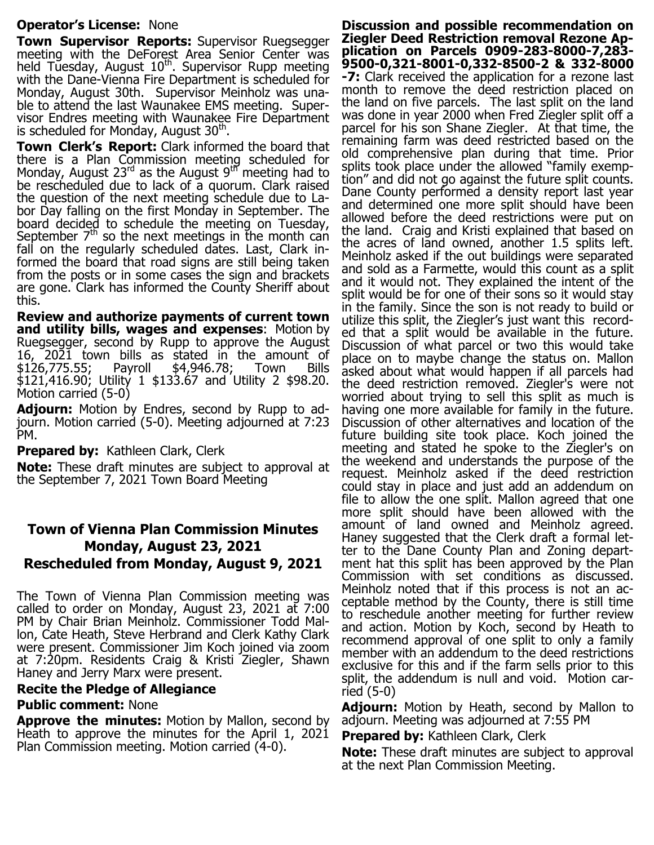#### **Operator's License:** None

**Town Supervisor Reports:** Supervisor Ruegsegger meeting with the DeForest Area Senior Center was held Tuesday, August  $10<sup>th</sup>$ . Supervisor Rupp meeting with the Dane-Vienna Fire Department is scheduled for Monday, August 30th. Supervisor Meinholz was unable to attend the last Waunakee EMS meeting. Supervisor Endres meeting with Waunakee Fire Department is scheduled for Monday, August  $30<sup>th</sup>$ .

**Town Clerk's Report:** Clark informed the board that there is a Plan Commission meeting scheduled for Monday, August  $23^{\text{rd}}$  as the August  $9^{\text{th}}$  meeting had to be rescheduled due to lack of a quorum. Clark raised the question of the next meeting schedule due to Labor Day falling on the first Monday in September. The board decided to schedule the meeting on Tuesday, September  $7<sup>th</sup>$  so the next meetings in the month can fall on the regularly scheduled dates. Last, Clark informed the board that road signs are still being taken from the posts or in some cases the sign and brackets are gone. Clark has informed the County Sheriff about this.

**Review and authorize payments of current town and utility bills, wages and expenses**: Motion by Ruegsegger, second by Rupp to approve the August 16, 2021 town bills as stated in the amount of \$126,775.55; Payroll \$4,946.78; Town Bills \$121,416.90; Utility 1 \$133.67 and Utility 2 \$98.20. Motion carried (5-0)

**Adjourn:** Motion by Endres, second by Rupp to adjourn. Motion carried (5-0). Meeting adjourned at 7:23 PM.

#### **Prepared by: Kathleen Clark, Clerk**

**Note:** These draft minutes are subject to approval at the September 7, 2021 Town Board Meeting

### **Town of Vienna Plan Commission Minutes Monday, August 23, 2021 Rescheduled from Monday, August 9, 2021**

The Town of Vienna Plan Commission meeting was called to order on Monday, August 23, 2021 at 7:00 PM by Chair Brian Meinholz. Commissioner Todd Mallon, Cate Heath, Steve Herbrand and Clerk Kathy Clark were present. Commissioner Jim Koch joined via zoom at 7:20pm. Residents Craig & Kristi Ziegler, Shawn Haney and Jerry Marx were present.

#### **Recite the Pledge of Allegiance**

#### **Public comment:** None

**Approve the minutes:** Motion by Mallon, second by Heath to approve the minutes for the April 1, 2021 Plan Commission meeting. Motion carried (4-0).

**Discussion and possible recommendation on Ziegler Deed Restriction removal Rezone Application on Parcels 0909-283-8000-7,283- 9500-0,321-8001-0,332-8500-2 & 332-8000 -7:** Clark received the application for a rezone last month to remove the deed restriction placed on the land on five parcels. The last split on the land was done in year 2000 when Fred Ziegler split off a parcel for his son Shane Ziegler. At that time, the remaining farm was deed restricted based on the old comprehensive plan during that time. Prior splits took place under the allowed "family exemption" and did not go against the future split counts. Dane County performed a density report last year and determined one more split should have been allowed before the deed restrictions were put on the land. Craig and Kristi explained that based on the acres of land owned, another 1.5 splits left. Meinholz asked if the out buildings were separated and sold as a Farmette, would this count as a split and it would not. They explained the intent of the split would be for one of their sons so it would stay in the family. Since the son is not ready to build or utilize this split, the Ziegler's just want this recorded that a split would be available in the future. Discussion of what parcel or two this would take place on to maybe change the status on. Mallon asked about what would happen if all parcels had the deed restriction removed. Ziegler's were not worried about trying to sell this split as much is having one more available for family in the future. Discussion of other alternatives and location of the future building site took place. Koch joined the meeting and stated he spoke to the Ziegler's on the weekend and understands the purpose of the request. Meinholz asked if the deed restriction could stay in place and just add an addendum on file to allow the one split. Mallon agreed that one more split should have been allowed with the amount of land owned and Meinholz agreed. Haney suggested that the Clerk draft a formal letter to the Dane County Plan and Zoning department hat this split has been approved by the Plan Commission with set conditions as discussed. Meinholz noted that if this process is not an acceptable method by the County, there is still time to reschedule another meeting for further review and action. Motion by Koch, second by Heath to recommend approval of one split to only a family member with an addendum to the deed restrictions exclusive for this and if the farm sells prior to this split, the addendum is null and void. Motion carried (5-0)

**Adjourn:** Motion by Heath, second by Mallon to adjourn. Meeting was adjourned at 7:55 PM

**Prepared by: Kathleen Clark, Clerk** 

**Note:** These draft minutes are subject to approval at the next Plan Commission Meeting.